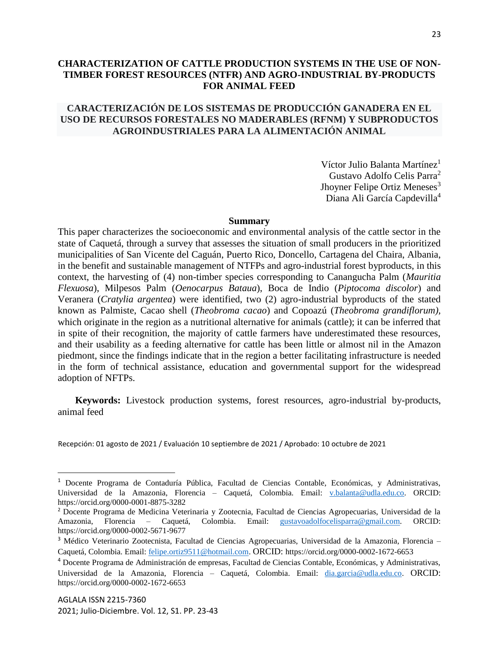# **CHARACTERIZATION OF CATTLE PRODUCTION SYSTEMS IN THE USE OF NON-TIMBER FOREST RESOURCES (NTFR) AND AGRO-INDUSTRIAL BY-PRODUCTS FOR ANIMAL FEED**

# **CARACTERIZACIÓN DE LOS SISTEMAS DE PRODUCCIÓN GANADERA EN EL USO DE RECURSOS FORESTALES NO MADERABLES (RFNM) Y SUBPRODUCTOS AGROINDUSTRIALES PARA LA ALIMENTACIÓN ANIMAL**

Víctor Julio Balanta Martínez<sup>1</sup> Gustavo Adolfo Celis Parra<sup>2</sup> Jhoyner Felipe Ortiz Meneses<sup>3</sup> Diana Ali García Capdevilla<sup>4</sup>

#### **Summary**

This paper characterizes the socioeconomic and environmental analysis of the cattle sector in the state of Caquetá, through a survey that assesses the situation of small producers in the prioritized municipalities of San Vicente del Caguán, Puerto Rico, Doncello, Cartagena del Chaira, Albania, in the benefit and sustainable management of NTFPs and agro-industrial forest byproducts, in this context, the harvesting of (4) non-timber species corresponding to Canangucha Palm (*Mauritia Flexuosa*), Milpesos Palm (*Oenocarpus Bataua*), Boca de Indio (*Piptocoma discolor*) and Veranera (*Cratylia argentea*) were identified, two (2) agro-industrial byproducts of the stated known as Palmiste, Cacao shell (*Theobroma cacao*) and Copoazú (*Theobroma grandiflorum),*  which originate in the region as a nutritional alternative for animals (cattle); it can be inferred that in spite of their recognition, the majority of cattle farmers have underestimated these resources, and their usability as a feeding alternative for cattle has been little or almost nil in the Amazon piedmont, since the findings indicate that in the region a better facilitating infrastructure is needed in the form of technical assistance, education and governmental support for the widespread adoption of NFTPs.

**Keywords:** Livestock production systems, forest resources, agro-industrial by-products, animal feed

Recepción: 01 agosto de 2021 / Evaluación 10 septiembre de 2021 / Aprobado: 10 octubre de 2021

 $\overline{\phantom{a}}$ 

<sup>1</sup> Docente Programa de Contaduría Pública, Facultad de Ciencias Contable, Económicas, y Administrativas, Universidad de la Amazonia, Florencia – Caquetá, Colombia. Email: [v.balanta@udla.edu.co.](mailto:v.balanta@udla.edu.co) ORCID: https://orcid.org/0000-0001-8875-3282

<sup>2</sup> Docente Programa de Medicina Veterinaria y Zootecnia, Facultad de Ciencias Agropecuarias, Universidad de la Amazonia, Florencia – Caquetá, Colombia. Email: [gustavoadolfocelisparra@gmail.com.](mailto:gustavoadolfocelisparra@gmail.com) ORCID: https://orcid.org/0000-0002-5671-9677

<sup>3</sup> Médico Veterinario Zootecnista, Facultad de Ciencias Agropecuarias, Universidad de la Amazonia, Florencia – Caquetá, Colombia. Email: [felipe.ortiz9511@hotmail.com.](mailto:felipe.ortiz9511@hotmail.com) ORCID: https://orcid.org/0000-0002-1672-6653

<sup>4</sup> Docente Programa de Administración de empresas, Facultad de Ciencias Contable, Económicas, y Administrativas, Universidad de la Amazonia, Florencia – Caquetá, Colombia. Email: [dia.garcia@udla.edu.co.](mailto:dia.garcia@udla.edu.co) ORCID: https://orcid.org/0000-0002-1672-6653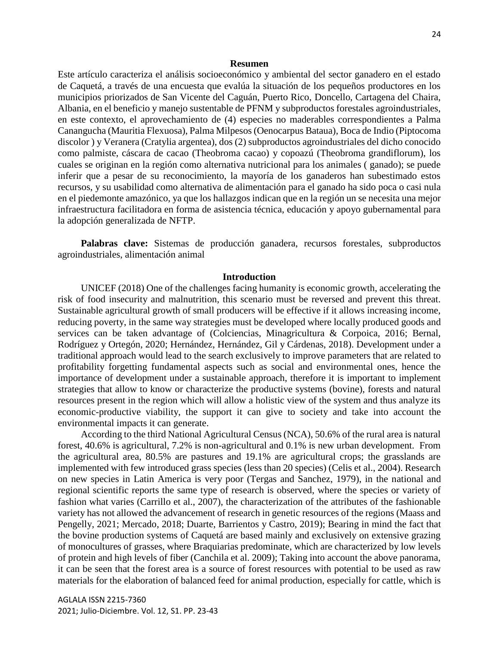#### **Resumen**

Este artículo caracteriza el análisis socioeconómico y ambiental del sector ganadero en el estado de Caquetá, a través de una encuesta que evalúa la situación de los pequeños productores en los municipios priorizados de San Vicente del Caguán, Puerto Rico, Doncello, Cartagena del Chaira, Albania, en el beneficio y manejo sustentable de PFNM y subproductos forestales agroindustriales, en este contexto, el aprovechamiento de (4) especies no maderables correspondientes a Palma Canangucha (Mauritia Flexuosa), Palma Milpesos (Oenocarpus Bataua), Boca de Indio (Piptocoma discolor ) y Veranera (Cratylia argentea), dos (2) subproductos agroindustriales del dicho conocido como palmiste, cáscara de cacao (Theobroma cacao) y copoazú (Theobroma grandiflorum), los cuales se originan en la región como alternativa nutricional para los animales ( ganado); se puede inferir que a pesar de su reconocimiento, la mayoría de los ganaderos han subestimado estos recursos, y su usabilidad como alternativa de alimentación para el ganado ha sido poca o casi nula en el piedemonte amazónico, ya que los hallazgos indican que en la región un se necesita una mejor infraestructura facilitadora en forma de asistencia técnica, educación y apoyo gubernamental para la adopción generalizada de NFTP.

**Palabras clave:** Sistemas de producción ganadera, recursos forestales, subproductos agroindustriales, alimentación animal

### **Introduction**

UNICEF (2018) One of the challenges facing humanity is economic growth, accelerating the risk of food insecurity and malnutrition, this scenario must be reversed and prevent this threat. Sustainable agricultural growth of small producers will be effective if it allows increasing income, reducing poverty, in the same way strategies must be developed where locally produced goods and services can be taken advantage of (Colciencias, Minagricultura & Corpoica, 2016; Bernal, Rodríguez y Ortegón, 2020; Hernández, Hernández, Gil y Cárdenas, 2018). Development under a traditional approach would lead to the search exclusively to improve parameters that are related to profitability forgetting fundamental aspects such as social and environmental ones, hence the importance of development under a sustainable approach, therefore it is important to implement strategies that allow to know or characterize the productive systems (bovine), forests and natural resources present in the region which will allow a holistic view of the system and thus analyze its economic-productive viability, the support it can give to society and take into account the environmental impacts it can generate.

According to the third National Agricultural Census (NCA), 50.6% of the rural area is natural forest, 40.6% is agricultural, 7.2% is non-agricultural and 0.1% is new urban development. From the agricultural area, 80.5% are pastures and 19.1% are agricultural crops; the grasslands are implemented with few introduced grass species (less than 20 species) (Celis et al., 2004). Research on new species in Latin America is very poor (Tergas and Sanchez, 1979), in the national and regional scientific reports the same type of research is observed, where the species or variety of fashion what varies (Carrillo et al., 2007), the characterization of the attributes of the fashionable variety has not allowed the advancement of research in genetic resources of the regions (Maass and Pengelly, 2021; Mercado, 2018; Duarte, Barrientos y Castro, 2019); Bearing in mind the fact that the bovine production systems of Caquetá are based mainly and exclusively on extensive grazing of monocultures of grasses, where Braquiarias predominate, which are characterized by low levels of protein and high levels of fiber (Canchila et al. 2009); Taking into account the above panorama, it can be seen that the forest area is a source of forest resources with potential to be used as raw materials for the elaboration of balanced feed for animal production, especially for cattle, which is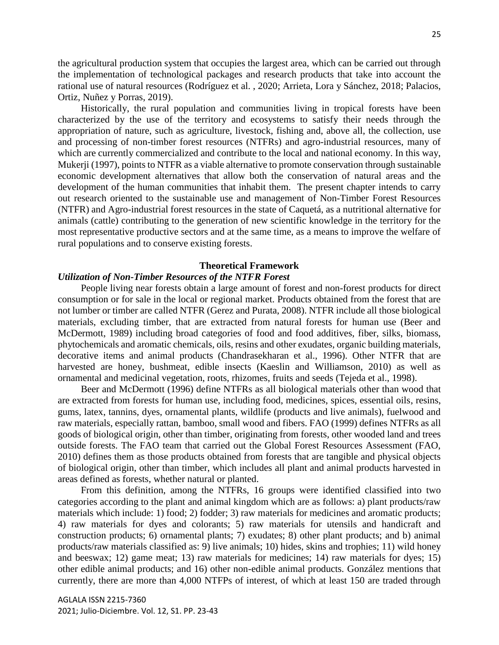the agricultural production system that occupies the largest area, which can be carried out through the implementation of technological packages and research products that take into account the rational use of natural resources (Rodríguez et al. , 2020; Arrieta, Lora y Sánchez, 2018; Palacios, Ortiz, Nuñez y Porras, 2019).

Historically, the rural population and communities living in tropical forests have been characterized by the use of the territory and ecosystems to satisfy their needs through the appropriation of nature, such as agriculture, livestock, fishing and, above all, the collection, use and processing of non-timber forest resources (NTFRs) and agro-industrial resources, many of which are currently commercialized and contribute to the local and national economy. In this way, Mukerji (1997), points to NTFR as a viable alternative to promote conservation through sustainable economic development alternatives that allow both the conservation of natural areas and the development of the human communities that inhabit them. The present chapter intends to carry out research oriented to the sustainable use and management of Non-Timber Forest Resources (NTFR) and Agro-industrial forest resources in the state of Caquetá, as a nutritional alternative for animals (cattle) contributing to the generation of new scientific knowledge in the territory for the most representative productive sectors and at the same time, as a means to improve the welfare of rural populations and to conserve existing forests.

## **Theoretical Framework**

### *Utilization of Non-Timber Resources of the NTFR Forest*

People living near forests obtain a large amount of forest and non-forest products for direct consumption or for sale in the local or regional market. Products obtained from the forest that are not lumber or timber are called NTFR (Gerez and Purata, 2008). NTFR include all those biological materials, excluding timber, that are extracted from natural forests for human use (Beer and McDermott, 1989) including broad categories of food and food additives, fiber, silks, biomass, phytochemicals and aromatic chemicals, oils, resins and other exudates, organic building materials, decorative items and animal products (Chandrasekharan et al., 1996). Other NTFR that are harvested are honey, bushmeat, edible insects (Kaeslin and Williamson, 2010) as well as ornamental and medicinal vegetation, roots, rhizomes, fruits and seeds (Tejeda et al., 1998).

Beer and McDermott (1996) define NTFRs as all biological materials other than wood that are extracted from forests for human use, including food, medicines, spices, essential oils, resins, gums, latex, tannins, dyes, ornamental plants, wildlife (products and live animals), fuelwood and raw materials, especially rattan, bamboo, small wood and fibers. FAO (1999) defines NTFRs as all goods of biological origin, other than timber, originating from forests, other wooded land and trees outside forests. The FAO team that carried out the Global Forest Resources Assessment (FAO, 2010) defines them as those products obtained from forests that are tangible and physical objects of biological origin, other than timber, which includes all plant and animal products harvested in areas defined as forests, whether natural or planted.

From this definition, among the NTFRs, 16 groups were identified classified into two categories according to the plant and animal kingdom which are as follows: a) plant products/raw materials which include: 1) food; 2) fodder; 3) raw materials for medicines and aromatic products; 4) raw materials for dyes and colorants; 5) raw materials for utensils and handicraft and construction products; 6) ornamental plants; 7) exudates; 8) other plant products; and b) animal products/raw materials classified as: 9) live animals; 10) hides, skins and trophies; 11) wild honey and beeswax; 12) game meat; 13) raw materials for medicines; 14) raw materials for dyes; 15) other edible animal products; and 16) other non-edible animal products. González mentions that currently, there are more than 4,000 NTFPs of interest, of which at least 150 are traded through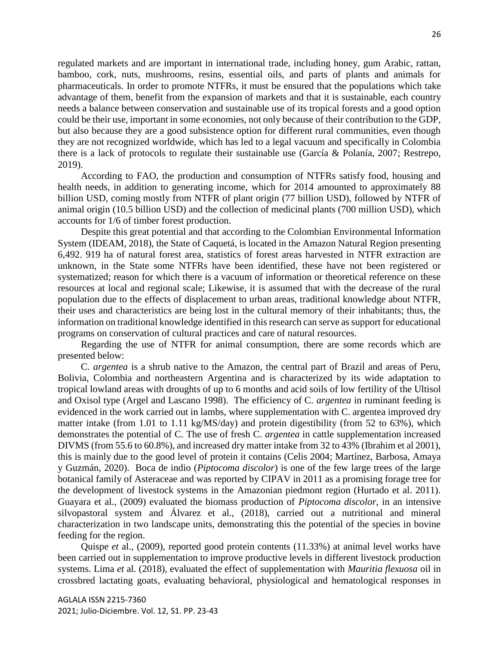regulated markets and are important in international trade, including honey, gum Arabic, rattan, bamboo, cork, nuts, mushrooms, resins, essential oils, and parts of plants and animals for pharmaceuticals. In order to promote NTFRs, it must be ensured that the populations which take advantage of them, benefit from the expansion of markets and that it is sustainable, each country needs a balance between conservation and sustainable use of its tropical forests and a good option could be their use, important in some economies, not only because of their contribution to the GDP, but also because they are a good subsistence option for different rural communities, even though they are not recognized worldwide, which has led to a legal vacuum and specifically in Colombia there is a lack of protocols to regulate their sustainable use (García & Polanía, 2007; Restrepo, 2019).

According to FAO, the production and consumption of NTFRs satisfy food, housing and health needs, in addition to generating income, which for 2014 amounted to approximately 88 billion USD, coming mostly from NTFR of plant origin (77 billion USD), followed by NTFR of animal origin (10.5 billion USD) and the collection of medicinal plants (700 million USD), which accounts for 1/6 of timber forest production.

Despite this great potential and that according to the Colombian Environmental Information System (IDEAM, 2018), the State of Caquetá, is located in the Amazon Natural Region presenting 6,492. 919 ha of natural forest area, statistics of forest areas harvested in NTFR extraction are unknown, in the State some NTFRs have been identified, these have not been registered or systematized; reason for which there is a vacuum of information or theoretical reference on these resources at local and regional scale; Likewise, it is assumed that with the decrease of the rural population due to the effects of displacement to urban areas, traditional knowledge about NTFR, their uses and characteristics are being lost in the cultural memory of their inhabitants; thus, the information on traditional knowledge identified in this research can serve as support for educational programs on conservation of cultural practices and care of natural resources.

Regarding the use of NTFR for animal consumption, there are some records which are presented below:

C. *argentea* is a shrub native to the Amazon, the central part of Brazil and areas of Peru, Bolivia, Colombia and northeastern Argentina and is characterized by its wide adaptation to tropical lowland areas with droughts of up to 6 months and acid soils of low fertility of the Ultisol and Oxisol type (Argel and Lascano 1998). The efficiency of C. *argentea* in ruminant feeding is evidenced in the work carried out in lambs, where supplementation with C. argentea improved dry matter intake (from 1.01 to 1.11 kg/MS/day) and protein digestibility (from 52 to 63%), which demonstrates the potential of C. The use of fresh C. *argentea* in cattle supplementation increased DIVMS (from 55.6 to 60.8%), and increased dry matter intake from 32 to 43% (Ibrahim et al 2001), this is mainly due to the good level of protein it contains (Celis 2004; Martínez, Barbosa, Amaya y Guzmán, 2020). Boca de indio (*Piptocoma discolor*) is one of the few large trees of the large botanical family of Asteraceae and was reported by CIPAV in 2011 as a promising forage tree for the development of livestock systems in the Amazonian piedmont region (Hurtado et al. 2011). Guayara et al., (2009) evaluated the biomass production of *Piptocoma discolor*, in an intensive silvopastoral system and Álvarez et al., (2018), carried out a nutritional and mineral characterization in two landscape units, demonstrating this the potential of the species in bovine feeding for the region.

Quispe *et* al., (2009), reported good protein contents (11.33%) at animal level works have been carried out in supplementation to improve productive levels in different livestock production systems. Lima *et* al. (2018), evaluated the effect of supplementation with *Mauritia flexuosa* oil in crossbred lactating goats, evaluating behavioral, physiological and hematological responses in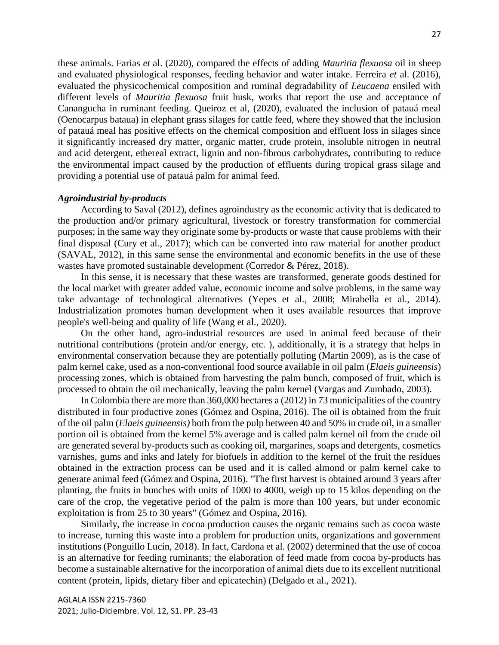these animals. Farias *et* al. (2020), compared the effects of adding *Mauritia flexuosa* oil in sheep and evaluated physiological responses, feeding behavior and water intake. Ferreira *et* al. (2016), evaluated the physicochemical composition and ruminal degradability of *Leucaena* ensiled with different levels of *Mauritia flexuosa* fruit husk, works that report the use and acceptance of Canangucha in ruminant feeding. Queiroz et al, (2020), evaluated the inclusion of patauá meal (Oenocarpus bataua) in elephant grass silages for cattle feed, where they showed that the inclusion of patauá meal has positive effects on the chemical composition and effluent loss in silages since it significantly increased dry matter, organic matter, crude protein, insoluble nitrogen in neutral and acid detergent, ethereal extract, lignin and non-fibrous carbohydrates, contributing to reduce the environmental impact caused by the production of effluents during tropical grass silage and providing a potential use of patauá palm for animal feed.

### *Agroindustrial by-products*

According to Saval (2012), defines agroindustry as the economic activity that is dedicated to the production and/or primary agricultural, livestock or forestry transformation for commercial purposes; in the same way they originate some by-products or waste that cause problems with their final disposal (Cury et al., 2017); which can be converted into raw material for another product (SAVAL, 2012), in this same sense the environmental and economic benefits in the use of these wastes have promoted sustainable development (Corredor & Pérez, 2018).

In this sense, it is necessary that these wastes are transformed, generate goods destined for the local market with greater added value, economic income and solve problems, in the same way take advantage of technological alternatives (Yepes et al., 2008; Mirabella et al., 2014). Industrialization promotes human development when it uses available resources that improve people's well-being and quality of life (Wang et al., 2020).

On the other hand, agro-industrial resources are used in animal feed because of their nutritional contributions (protein and/or energy, etc. ), additionally, it is a strategy that helps in environmental conservation because they are potentially polluting (Martin 2009), as is the case of palm kernel cake, used as a non-conventional food source available in oil palm (*Elaeis guineensis*) processing zones, which is obtained from harvesting the palm bunch, composed of fruit, which is processed to obtain the oil mechanically, leaving the palm kernel (Vargas and Zumbado, 2003).

In Colombia there are more than 360,000 hectares a (2012) in 73 municipalities of the country distributed in four productive zones (Gómez and Ospina, 2016). The oil is obtained from the fruit of the oil palm (*Elaeis guineensis)* both from the pulp between 40 and 50% in crude oil, in a smaller portion oil is obtained from the kernel 5% average and is called palm kernel oil from the crude oil are generated several by-products such as cooking oil, margarines, soaps and detergents, cosmetics varnishes, gums and inks and lately for biofuels in addition to the kernel of the fruit the residues obtained in the extraction process can be used and it is called almond or palm kernel cake to generate animal feed (Gómez and Ospina, 2016). "The first harvest is obtained around 3 years after planting, the fruits in bunches with units of 1000 to 4000, weigh up to 15 kilos depending on the care of the crop, the vegetative period of the palm is more than 100 years, but under economic exploitation is from 25 to 30 years" (Gómez and Ospina, 2016).

Similarly, the increase in cocoa production causes the organic remains such as cocoa waste to increase, turning this waste into a problem for production units, organizations and government institutions (Ponguillo Lucín, 2018). In fact, Cardona et al. (2002) determined that the use of cocoa is an alternative for feeding ruminants; the elaboration of feed made from cocoa by-products has become a sustainable alternative for the incorporation of animal diets due to its excellent nutritional content (protein, lipids, dietary fiber and epicatechin) (Delgado et al., 2021).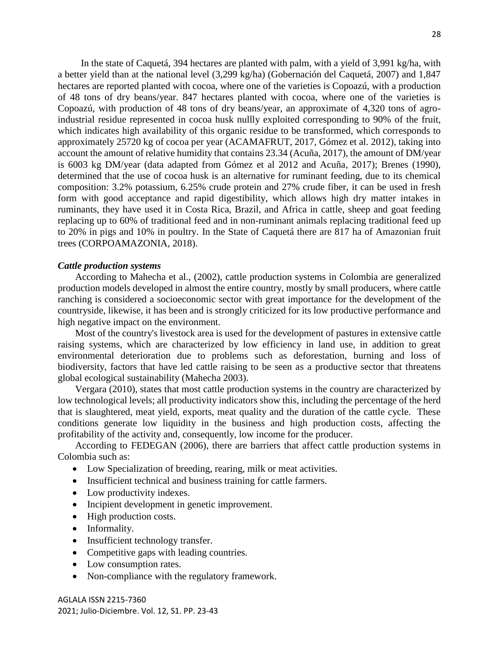In the state of Caquetá, 394 hectares are planted with palm, with a yield of 3,991 kg/ha, with a better yield than at the national level (3,299 kg/ha) (Gobernación del Caquetá, 2007) and 1,847 hectares are reported planted with cocoa, where one of the varieties is Copoazú, with a production of 48 tons of dry beans/year. 847 hectares planted with cocoa, where one of the varieties is Copoazú, with production of 48 tons of dry beans/year, an approximate of 4,320 tons of agroindustrial residue represented in cocoa husk nullly exploited corresponding to 90% of the fruit, which indicates high availability of this organic residue to be transformed, which corresponds to approximately 25720 kg of cocoa per year (ACAMAFRUT, 2017, Gómez et al. 2012), taking into account the amount of relative humidity that contains 23.34 (Acuña, 2017), the amount of DM/year is 6003 kg DM/year (data adapted from Gómez et al 2012 and Acuña, 2017); Brenes (1990), determined that the use of cocoa husk is an alternative for ruminant feeding, due to its chemical composition: 3.2% potassium, 6.25% crude protein and 27% crude fiber, it can be used in fresh form with good acceptance and rapid digestibility, which allows high dry matter intakes in ruminants, they have used it in Costa Rica, Brazil, and Africa in cattle, sheep and goat feeding replacing up to 60% of traditional feed and in non-ruminant animals replacing traditional feed up to 20% in pigs and 10% in poultry. In the State of Caquetá there are 817 ha of Amazonian fruit trees (CORPOAMAZONIA, 2018).

# *Cattle production systems*

According to Mahecha et al., (2002), cattle production systems in Colombia are generalized production models developed in almost the entire country, mostly by small producers, where cattle ranching is considered a socioeconomic sector with great importance for the development of the countryside, likewise, it has been and is strongly criticized for its low productive performance and high negative impact on the environment.

Most of the country's livestock area is used for the development of pastures in extensive cattle raising systems, which are characterized by low efficiency in land use, in addition to great environmental deterioration due to problems such as deforestation, burning and loss of biodiversity, factors that have led cattle raising to be seen as a productive sector that threatens global ecological sustainability (Mahecha 2003).

Vergara (2010), states that most cattle production systems in the country are characterized by low technological levels; all productivity indicators show this, including the percentage of the herd that is slaughtered, meat yield, exports, meat quality and the duration of the cattle cycle. These conditions generate low liquidity in the business and high production costs, affecting the profitability of the activity and, consequently, low income for the producer.

According to FEDEGAN (2006), there are barriers that affect cattle production systems in Colombia such as:

- Low Specialization of breeding, rearing, milk or meat activities.
- Insufficient technical and business training for cattle farmers.
- Low productivity indexes.
- Incipient development in genetic improvement.
- High production costs.
- Informality.
- Insufficient technology transfer.
- Competitive gaps with leading countries.
- Low consumption rates.
- Non-compliance with the regulatory framework.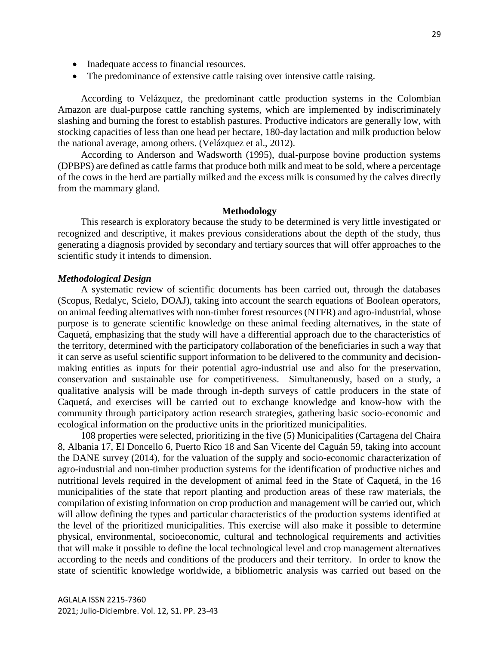- Inadequate access to financial resources.
- The predominance of extensive cattle raising over intensive cattle raising.

According to Velázquez, the predominant cattle production systems in the Colombian Amazon are dual-purpose cattle ranching systems, which are implemented by indiscriminately slashing and burning the forest to establish pastures. Productive indicators are generally low, with stocking capacities of less than one head per hectare, 180-day lactation and milk production below the national average, among others. (Velázquez et al., 2012).

According to Anderson and Wadsworth (1995), dual-purpose bovine production systems (DPBPS) are defined as cattle farms that produce both milk and meat to be sold, where a percentage of the cows in the herd are partially milked and the excess milk is consumed by the calves directly from the mammary gland.

### **Methodology**

This research is exploratory because the study to be determined is very little investigated or recognized and descriptive, it makes previous considerations about the depth of the study, thus generating a diagnosis provided by secondary and tertiary sources that will offer approaches to the scientific study it intends to dimension.

### *Methodological Design*

A systematic review of scientific documents has been carried out, through the databases (Scopus, Redalyc, Scielo, DOAJ), taking into account the search equations of Boolean operators, on animal feeding alternatives with non-timber forest resources (NTFR) and agro-industrial, whose purpose is to generate scientific knowledge on these animal feeding alternatives, in the state of Caquetá, emphasizing that the study will have a differential approach due to the characteristics of the territory, determined with the participatory collaboration of the beneficiaries in such a way that it can serve as useful scientific support information to be delivered to the community and decisionmaking entities as inputs for their potential agro-industrial use and also for the preservation, conservation and sustainable use for competitiveness. Simultaneously, based on a study, a qualitative analysis will be made through in-depth surveys of cattle producers in the state of Caquetá, and exercises will be carried out to exchange knowledge and know-how with the community through participatory action research strategies, gathering basic socio-economic and ecological information on the productive units in the prioritized municipalities.

108 properties were selected, prioritizing in the five (5) Municipalities (Cartagena del Chaira 8, Albania 17, El Doncello 6, Puerto Rico 18 and San Vicente del Caguán 59, taking into account the DANE survey (2014), for the valuation of the supply and socio-economic characterization of agro-industrial and non-timber production systems for the identification of productive niches and nutritional levels required in the development of animal feed in the State of Caquetá, in the 16 municipalities of the state that report planting and production areas of these raw materials, the compilation of existing information on crop production and management will be carried out, which will allow defining the types and particular characteristics of the production systems identified at the level of the prioritized municipalities. This exercise will also make it possible to determine physical, environmental, socioeconomic, cultural and technological requirements and activities that will make it possible to define the local technological level and crop management alternatives according to the needs and conditions of the producers and their territory. In order to know the state of scientific knowledge worldwide, a bibliometric analysis was carried out based on the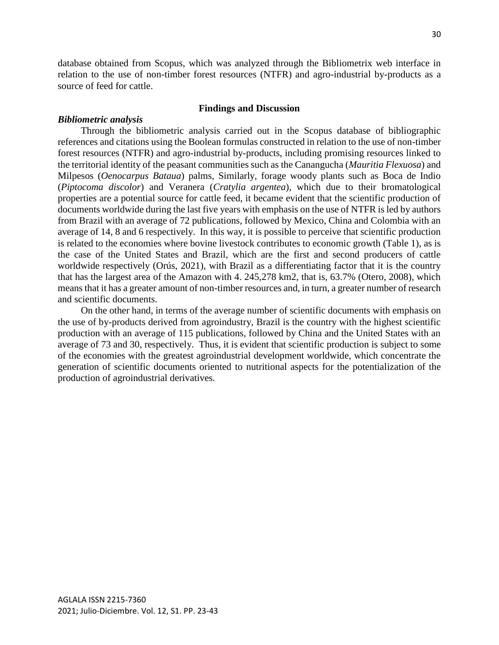database obtained from Scopus, which was analyzed through the Bibliometrix web interface in relation to the use of non-timber forest resources (NTFR) and agro-industrial by-products as a source of feed for cattle.

### **Findings and Discussion**

### *Bibliometric analysis*

Through the bibliometric analysis carried out in the Scopus database of bibliographic references and citations using the Boolean formulas constructed in relation to the use of non-timber forest resources (NTFR) and agro-industrial by-products, including promising resources linked to the territorial identity of the peasant communities such as the Canangucha (*Mauritia Flexuosa*) and Milpesos (*Oenocarpus Bataua*) palms, Similarly, forage woody plants such as Boca de Indio (*Piptocoma discolor*) and Veranera (*Cratylia argentea*), which due to their bromatological properties are a potential source for cattle feed, it became evident that the scientific production of documents worldwide during the last five years with emphasis on the use of NTFR is led by authors from Brazil with an average of 72 publications, followed by Mexico, China and Colombia with an average of 14, 8 and 6 respectively. In this way, it is possible to perceive that scientific production is related to the economies where bovine livestock contributes to economic growth (Table 1), as is the case of the United States and Brazil, which are the first and second producers of cattle worldwide respectively (Orús, 2021), with Brazil as a differentiating factor that it is the country that has the largest area of the Amazon with 4. 245,278 km2, that is, 63.7% (Otero, 2008), which means that it has a greater amount of non-timber resources and, in turn, a greater number of research and scientific documents.

On the other hand, in terms of the average number of scientific documents with emphasis on the use of by-products derived from agroindustry, Brazil is the country with the highest scientific production with an average of 115 publications, followed by China and the United States with an average of 73 and 30, respectively. Thus, it is evident that scientific production is subject to some of the economies with the greatest agroindustrial development worldwide, which concentrate the generation of scientific documents oriented to nutritional aspects for the potentialization of the production of agroindustrial derivatives.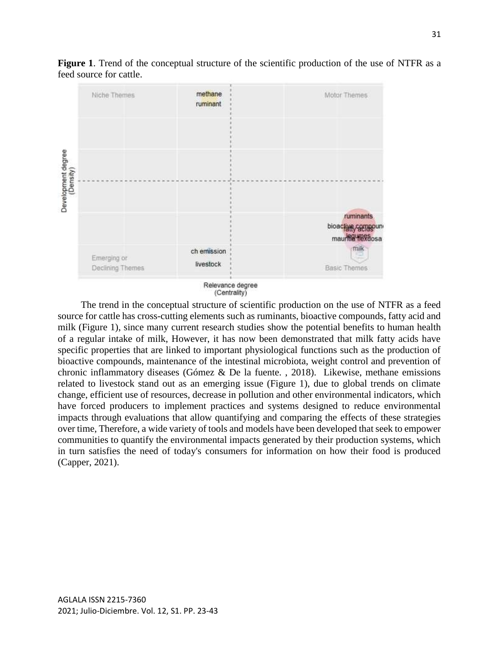

**Figure 1**. Trend of the conceptual structure of the scientific production of the use of NTFR as a feed source for cattle.

The trend in the conceptual structure of scientific production on the use of NTFR as a feed source for cattle has cross-cutting elements such as ruminants, bioactive compounds, fatty acid and milk (Figure 1), since many current research studies show the potential benefits to human health of a regular intake of milk, However, it has now been demonstrated that milk fatty acids have specific properties that are linked to important physiological functions such as the production of bioactive compounds, maintenance of the intestinal microbiota, weight control and prevention of chronic inflammatory diseases (Gómez & De la fuente. , 2018). Likewise, methane emissions related to livestock stand out as an emerging issue (Figure 1), due to global trends on climate change, efficient use of resources, decrease in pollution and other environmental indicators, which have forced producers to implement practices and systems designed to reduce environmental impacts through evaluations that allow quantifying and comparing the effects of these strategies over time, Therefore, a wide variety of tools and models have been developed that seek to empower communities to quantify the environmental impacts generated by their production systems, which in turn satisfies the need of today's consumers for information on how their food is produced (Capper, 2021).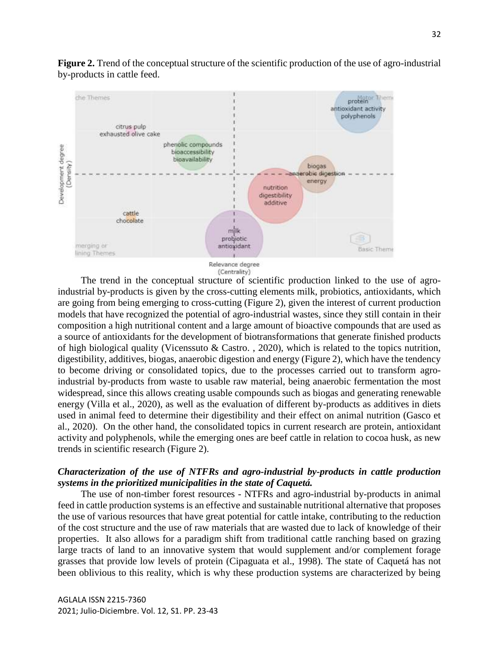**Figure 2.** Trend of the conceptual structure of the scientific production of the use of agro-industrial by-products in cattle feed.



The trend in the conceptual structure of scientific production linked to the use of agroindustrial by-products is given by the cross-cutting elements milk, probiotics, antioxidants, which are going from being emerging to cross-cutting (Figure 2), given the interest of current production models that have recognized the potential of agro-industrial wastes, since they still contain in their composition a high nutritional content and a large amount of bioactive compounds that are used as a source of antioxidants for the development of biotransformations that generate finished products of high biological quality (Vicenssuto & Castro. , 2020), which is related to the topics nutrition, digestibility, additives, biogas, anaerobic digestion and energy (Figure 2), which have the tendency to become driving or consolidated topics, due to the processes carried out to transform agroindustrial by-products from waste to usable raw material, being anaerobic fermentation the most widespread, since this allows creating usable compounds such as biogas and generating renewable energy (Villa et al., 2020), as well as the evaluation of different by-products as additives in diets used in animal feed to determine their digestibility and their effect on animal nutrition (Gasco et al., 2020). On the other hand, the consolidated topics in current research are protein, antioxidant activity and polyphenols, while the emerging ones are beef cattle in relation to cocoa husk, as new trends in scientific research (Figure 2).

# *Characterization of the use of NTFRs and agro-industrial by-products in cattle production systems in the prioritized municipalities in the state of Caquetá.*

The use of non-timber forest resources - NTFRs and agro-industrial by-products in animal feed in cattle production systems is an effective and sustainable nutritional alternative that proposes the use of various resources that have great potential for cattle intake, contributing to the reduction of the cost structure and the use of raw materials that are wasted due to lack of knowledge of their properties. It also allows for a paradigm shift from traditional cattle ranching based on grazing large tracts of land to an innovative system that would supplement and/or complement forage grasses that provide low levels of protein (Cipaguata et al., 1998). The state of Caquetá has not been oblivious to this reality, which is why these production systems are characterized by being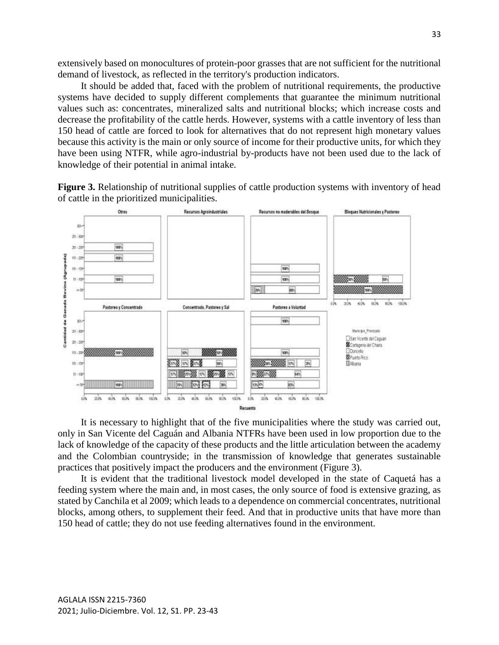extensively based on monocultures of protein-poor grasses that are not sufficient for the nutritional demand of livestock, as reflected in the territory's production indicators.

It should be added that, faced with the problem of nutritional requirements, the productive systems have decided to supply different complements that guarantee the minimum nutritional values such as: concentrates, mineralized salts and nutritional blocks; which increase costs and decrease the profitability of the cattle herds. However, systems with a cattle inventory of less than 150 head of cattle are forced to look for alternatives that do not represent high monetary values because this activity is the main or only source of income for their productive units, for which they have been using NTFR, while agro-industrial by-products have not been used due to the lack of knowledge of their potential in animal intake.

**Figure 3.** Relationship of nutritional supplies of cattle production systems with inventory of head of cattle in the prioritized municipalities.



It is necessary to highlight that of the five municipalities where the study was carried out, only in San Vicente del Caguán and Albania NTFRs have been used in low proportion due to the lack of knowledge of the capacity of these products and the little articulation between the academy and the Colombian countryside; in the transmission of knowledge that generates sustainable practices that positively impact the producers and the environment (Figure 3).

It is evident that the traditional livestock model developed in the state of Caquetá has a feeding system where the main and, in most cases, the only source of food is extensive grazing, as stated by Canchila et al 2009; which leads to a dependence on commercial concentrates, nutritional blocks, among others, to supplement their feed. And that in productive units that have more than 150 head of cattle; they do not use feeding alternatives found in the environment.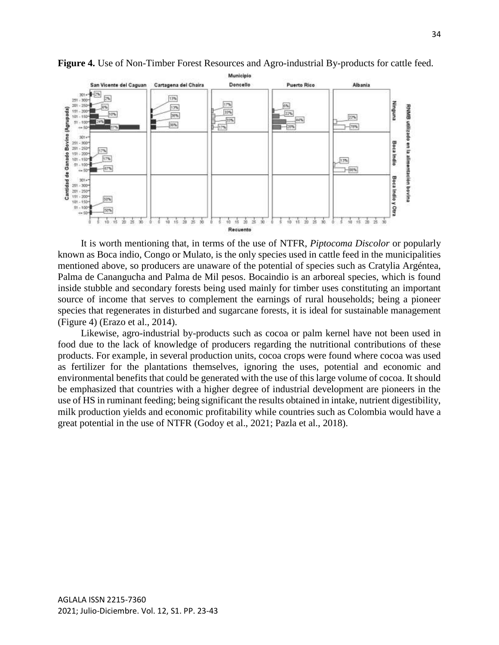

**Figure 4.** Use of Non-Timber Forest Resources and Agro-industrial By-products for cattle feed.

It is worth mentioning that, in terms of the use of NTFR, *Piptocoma Discolor* or popularly known as Boca indio, Congo or Mulato, is the only species used in cattle feed in the municipalities mentioned above, so producers are unaware of the potential of species such as Cratylia Argéntea, Palma de Canangucha and Palma de Mil pesos. Bocaindio is an arboreal species, which is found inside stubble and secondary forests being used mainly for timber uses constituting an important source of income that serves to complement the earnings of rural households; being a pioneer species that regenerates in disturbed and sugarcane forests, it is ideal for sustainable management (Figure 4) (Erazo et al., 2014).

Likewise, agro-industrial by-products such as cocoa or palm kernel have not been used in food due to the lack of knowledge of producers regarding the nutritional contributions of these products. For example, in several production units, cocoa crops were found where cocoa was used as fertilizer for the plantations themselves, ignoring the uses, potential and economic and environmental benefits that could be generated with the use of this large volume of cocoa. It should be emphasized that countries with a higher degree of industrial development are pioneers in the use of HS in ruminant feeding; being significant the results obtained in intake, nutrient digestibility, milk production yields and economic profitability while countries such as Colombia would have a great potential in the use of NTFR (Godoy et al., 2021; Pazla et al., 2018).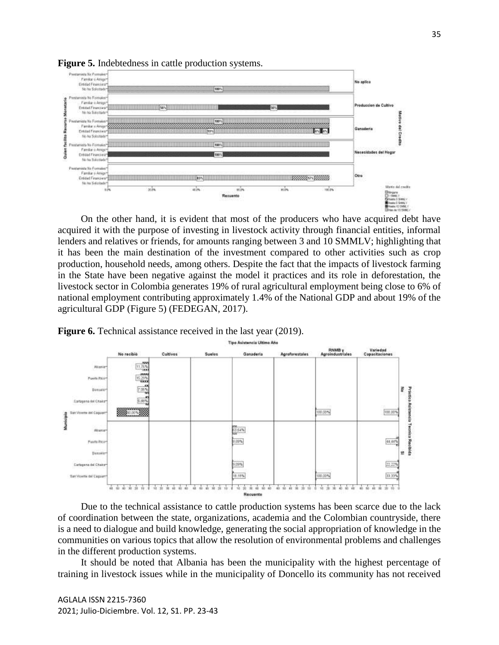

**Figure 5.** Indebtedness in cattle production systems.

On the other hand, it is evident that most of the producers who have acquired debt have acquired it with the purpose of investing in livestock activity through financial entities, informal lenders and relatives or friends, for amounts ranging between 3 and 10 SMMLV; highlighting that it has been the main destination of the investment compared to other activities such as crop production, household needs, among others. Despite the fact that the impacts of livestock farming in the State have been negative against the model it practices and its role in deforestation, the livestock sector in Colombia generates 19% of rural agricultural employment being close to 6% of national employment contributing approximately 1.4% of the National GDP and about 19% of the agricultural GDP (Figure 5) (FEDEGAN, 2017).



**Figure 6.** Technical assistance received in the last year (2019).

Due to the technical assistance to cattle production systems has been scarce due to the lack of coordination between the state, organizations, academia and the Colombian countryside, there is a need to dialogue and build knowledge, generating the social appropriation of knowledge in the communities on various topics that allow the resolution of environmental problems and challenges in the different production systems.

It should be noted that Albania has been the municipality with the highest percentage of training in livestock issues while in the municipality of Doncello its community has not received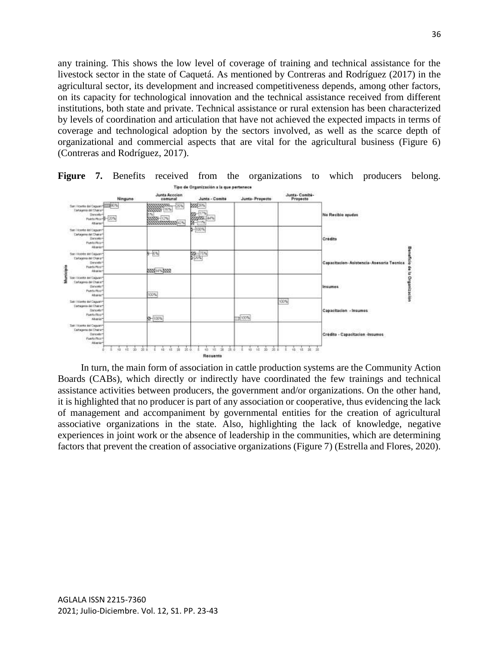any training. This shows the low level of coverage of training and technical assistance for the livestock sector in the state of Caquetá. As mentioned by Contreras and Rodríguez (2017) in the agricultural sector, its development and increased competitiveness depends, among other factors, on its capacity for technological innovation and the technical assistance received from different institutions, both state and private. Technical assistance or rural extension has been characterized by levels of coordination and articulation that have not achieved the expected impacts in terms of coverage and technological adoption by the sectors involved, as well as the scarce depth of organizational and commercial aspects that are vital for the agricultural business (Figure 6) (Contreras and Rodríguez, 2017).



**Figure 7.** Benefits received from the organizations to which producers belong.

In turn, the main form of association in cattle production systems are the Community Action Boards (CABs), which directly or indirectly have coordinated the few trainings and technical assistance activities between producers, the government and/or organizations. On the other hand, it is highlighted that no producer is part of any association or cooperative, thus evidencing the lack of management and accompaniment by governmental entities for the creation of agricultural associative organizations in the state. Also, highlighting the lack of knowledge, negative experiences in joint work or the absence of leadership in the communities, which are determining factors that prevent the creation of associative organizations (Figure 7) (Estrella and Flores, 2020).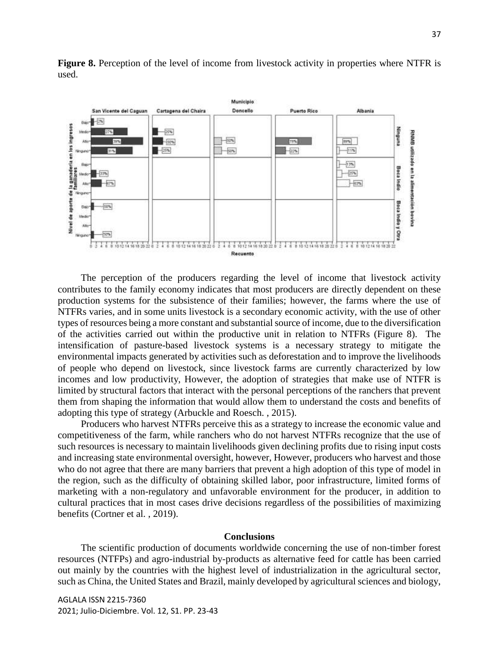Municipio Doncello San Vicente del Caguan Cartagena del Chaira **Puerto Rico Allenda**  $\blacksquare$ Baio Rundhug **litedo**  $-25%$ RNMB utilizado en la alimentación bovina  $-50%$  $19\%$ Alto  $-60%$ Tas.  $+15%$  $-15%$  $-50%$  $-225$ 31% Newsand  $-125$ Boi **Bocalndio Hedio**  $-32%$  $-25%$  $-67%$  $+52%$ Alto Ninga **Boca Indio y Otra**  $-50%$ Bail Medi At **BON** Ningary Recuento

**Figure 8.** Perception of the level of income from livestock activity in properties where NTFR is used.

The perception of the producers regarding the level of income that livestock activity contributes to the family economy indicates that most producers are directly dependent on these production systems for the subsistence of their families; however, the farms where the use of NTFRs varies, and in some units livestock is a secondary economic activity, with the use of other types of resources being a more constant and substantial source of income, due to the diversification of the activities carried out within the productive unit in relation to NTFRs (Figure 8). The intensification of pasture-based livestock systems is a necessary strategy to mitigate the environmental impacts generated by activities such as deforestation and to improve the livelihoods of people who depend on livestock, since livestock farms are currently characterized by low incomes and low productivity, However, the adoption of strategies that make use of NTFR is limited by structural factors that interact with the personal perceptions of the ranchers that prevent them from shaping the information that would allow them to understand the costs and benefits of adopting this type of strategy (Arbuckle and Roesch. , 2015).

Producers who harvest NTFRs perceive this as a strategy to increase the economic value and competitiveness of the farm, while ranchers who do not harvest NTFRs recognize that the use of such resources is necessary to maintain livelihoods given declining profits due to rising input costs and increasing state environmental oversight, however, However, producers who harvest and those who do not agree that there are many barriers that prevent a high adoption of this type of model in the region, such as the difficulty of obtaining skilled labor, poor infrastructure, limited forms of marketing with a non-regulatory and unfavorable environment for the producer, in addition to cultural practices that in most cases drive decisions regardless of the possibilities of maximizing benefits (Cortner et al. , 2019).

#### **Conclusions**

The scientific production of documents worldwide concerning the use of non-timber forest resources (NTFPs) and agro-industrial by-products as alternative feed for cattle has been carried out mainly by the countries with the highest level of industrialization in the agricultural sector, such as China, the United States and Brazil, mainly developed by agricultural sciences and biology,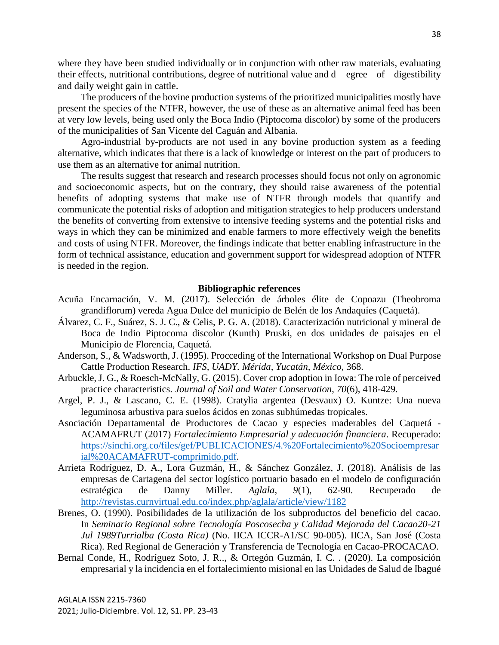where they have been studied individually or in conjunction with other raw materials, evaluating their effects, nutritional contributions, degree of nutritional value and d egree of digestibility and daily weight gain in cattle.

The producers of the bovine production systems of the prioritized municipalities mostly have present the species of the NTFR, however, the use of these as an alternative animal feed has been at very low levels, being used only the Boca Indio (Piptocoma discolor) by some of the producers of the municipalities of San Vicente del Caguán and Albania.

Agro-industrial by-products are not used in any bovine production system as a feeding alternative, which indicates that there is a lack of knowledge or interest on the part of producers to use them as an alternative for animal nutrition.

The results suggest that research and research processes should focus not only on agronomic and socioeconomic aspects, but on the contrary, they should raise awareness of the potential benefits of adopting systems that make use of NTFR through models that quantify and communicate the potential risks of adoption and mitigation strategies to help producers understand the benefits of converting from extensive to intensive feeding systems and the potential risks and ways in which they can be minimized and enable farmers to more effectively weigh the benefits and costs of using NTFR. Moreover, the findings indicate that better enabling infrastructure in the form of technical assistance, education and government support for widespread adoption of NTFR is needed in the region.

### **Bibliographic references**

- Acuña Encarnación, V. M. (2017). Selección de árboles élite de Copoazu (Theobroma grandiflorum) vereda Agua Dulce del municipio de Belén de los Andaquíes (Caquetá).
- Álvarez, C. F., Suárez, S. J. C., & Celis, P. G. A. (2018). Caracterización nutricional y mineral de Boca de Indio Piptocoma discolor (Kunth) Pruski, en dos unidades de paisajes en el Municipio de Florencia, Caquetá.
- Anderson, S., & Wadsworth, J. (1995). Procceding of the International Workshop on Dual Purpose Cattle Production Research. *IFS, UADY. Mérida, Yucatán, México*, 368.
- Arbuckle, J. G., & Roesch-McNally, G. (2015). Cover crop adoption in Iowa: The role of perceived practice characteristics. *Journal of Soil and Water Conservation*, *70*(6), 418-429.
- Argel, P. J., & Lascano, C. E. (1998). Cratylia argentea (Desvaux) O. Kuntze: Una nueva leguminosa arbustiva para suelos ácidos en zonas subhúmedas tropicales.
- Asociación Departamental de Productores de Cacao y especies maderables del Caquetá ACAMAFRUT (2017) *Fortalecimiento Empresarial y adecuación financiera*. Recuperado: [https://sinchi.org.co/files/gef/PUBLICACIONES/4.%20Fortalecimiento%20Socioempresar](https://sinchi.org.co/files/gef/PUBLICACIONES/4.%20Fortalecimiento%20Socioempresarial%20ACAMAFRUT-comprimido.pdf) [ial%20ACAMAFRUT-comprimido.pdf.](https://sinchi.org.co/files/gef/PUBLICACIONES/4.%20Fortalecimiento%20Socioempresarial%20ACAMAFRUT-comprimido.pdf)
- Arrieta Rodríguez, D. A., Lora Guzmán, H., & Sánchez González, J. (2018). Análisis de las empresas de Cartagena del sector logístico portuario basado en el modelo de configuración estratégica de Danny Miller. *Aglala*, *9*(1), 62-90. Recuperado de <http://revistas.curnvirtual.edu.co/index.php/aglala/article/view/1182>
- Brenes, O. (1990). Posibilidades de la utilización de los subproductos del beneficio del cacao. In *Seminario Regional sobre Tecnología Poscosecha y Calidad Mejorada del Cacao20-21 Jul 1989Turrialba (Costa Rica)* (No. IICA ICCR-A1/SC 90-005). IICA, San José (Costa Rica). Red Regional de Generación y Transferencia de Tecnología en Cacao-PROCACAO.
- Bernal Conde, H., Rodríguez Soto, J. R.., & Ortegón Guzmán, I. C. . (2020). La composición empresarial y la incidencia en el fortalecimiento misional en las Unidades de Salud de Ibagué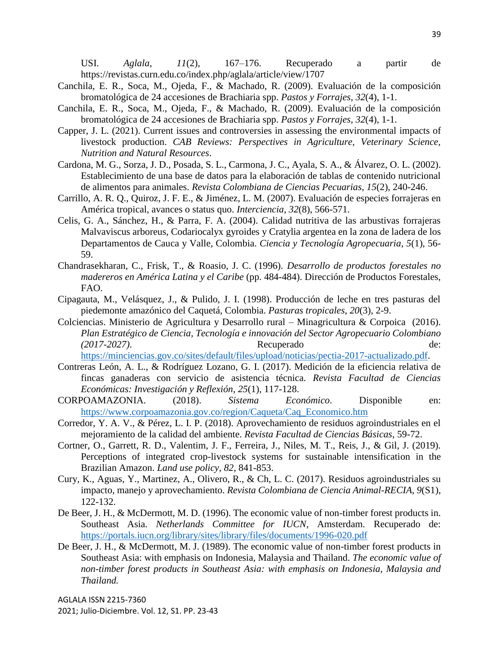USI. *Aglala*, *11*(2), 167–176. Recuperado a partir de https://revistas.curn.edu.co/index.php/aglala/article/view/1707

- Canchila, E. R., Soca, M., Ojeda, F., & Machado, R. (2009). Evaluación de la composición bromatológica de 24 accesiones de Brachiaria spp. *Pastos y Forrajes*, *32*(4), 1-1.
- Canchila, E. R., Soca, M., Ojeda, F., & Machado, R. (2009). Evaluación de la composición bromatológica de 24 accesiones de Brachiaria spp. *Pastos y Forrajes*, *32*(4), 1-1.
- Capper, J. L. (2021). Current issues and controversies in assessing the environmental impacts of livestock production. *CAB Reviews: Perspectives in Agriculture, Veterinary Science, Nutrition and Natural Resources*.
- Cardona, M. G., Sorza, J. D., Posada, S. L., Carmona, J. C., Ayala, S. A., & Álvarez, O. L. (2002). Establecimiento de una base de datos para la elaboración de tablas de contenido nutricional de alimentos para animales. *Revista Colombiana de Ciencias Pecuarias*, *15*(2), 240-246.
- Carrillo, A. R. Q., Quiroz, J. F. E., & Jiménez, L. M. (2007). Evaluación de especies forrajeras en América tropical, avances o status quo. *Interciencia*, *32*(8), 566-571.
- Celis, G. A., Sánchez, H., & Parra, F. A. (2004). Calidad nutritiva de las arbustivas forrajeras Malvaviscus arboreus, Codariocalyx gyroides y Cratylia argentea en la zona de ladera de los Departamentos de Cauca y Valle, Colombia. *Ciencia y Tecnología Agropecuaria*, *5*(1), 56- 59.
- Chandrasekharan, C., Frisk, T., & Roasio, J. C. (1996). *Desarrollo de productos forestales no madereros en América Latina y el Caribe* (pp. 484-484). Dirección de Productos Forestales, FAO.
- Cipagauta, M., Velásquez, J., & Pulido, J. I. (1998). Producción de leche en tres pasturas del piedemonte amazónico del Caquetá, Colombia. *Pasturas tropicales*, *20*(3), 2-9.
- Colciencias. Ministerio de Agricultura y Desarrollo rural Minagricultura & Corpoica (2016). *Plan Estratégico de Ciencia, Tecnología e innovación del Sector Agropecuario Colombiano (2017-2027)*. Recuperado de: [https://minciencias.gov.co/sites/default/files/upload/noticias/pectia-2017-actualizado.pdf.](https://minciencias.gov.co/sites/default/files/upload/noticias/pectia-2017-actualizado.pdf)
- Contreras León, A. L., & Rodríguez Lozano, G. I. (2017). Medición de la eficiencia relativa de fincas ganaderas con servicio de asistencia técnica. *Revista Facultad de Ciencias Económicas: Investigación y Reflexión*, *25*(1), 117-128.
- CORPOAMAZONIA. (2018). *Sistema Económico*. Disponible en: [https://www.corpoamazonia.gov.co/region/Caqueta/Caq\\_Economico.htm](https://www.corpoamazonia.gov.co/region/Caqueta/Caq_Economico.htm)
- Corredor, Y. A. V., & Pérez, L. I. P. (2018). Aprovechamiento de residuos agroindustriales en el mejoramiento de la calidad del ambiente. *Revista Facultad de Ciencias Básicas*, 59-72.
- Cortner, O., Garrett, R. D., Valentim, J. F., Ferreira, J., Niles, M. T., Reis, J., & Gil, J. (2019). Perceptions of integrated crop-livestock systems for sustainable intensification in the Brazilian Amazon. *Land use policy*, *82*, 841-853.
- Cury, K., Aguas, Y., Martinez, A., Olivero, R., & Ch, L. C. (2017). Residuos agroindustriales su impacto, manejo y aprovechamiento. *Revista Colombiana de Ciencia Animal-RECIA*, *9*(S1), 122-132.
- De Beer, J. H., & McDermott, M. D. (1996). The economic value of non-timber forest products in. Southeast Asia*. Netherlands Committee for IUCN*, Amsterdam. Recuperado de: <https://portals.iucn.org/library/sites/library/files/documents/1996-020.pdf>
- De Beer, J. H., & McDermott, M. J. (1989). The economic value of non-timber forest products in Southeast Asia: with emphasis on Indonesia, Malaysia and Thailand. *The economic value of non-timber forest products in Southeast Asia: with emphasis on Indonesia, Malaysia and Thailand.*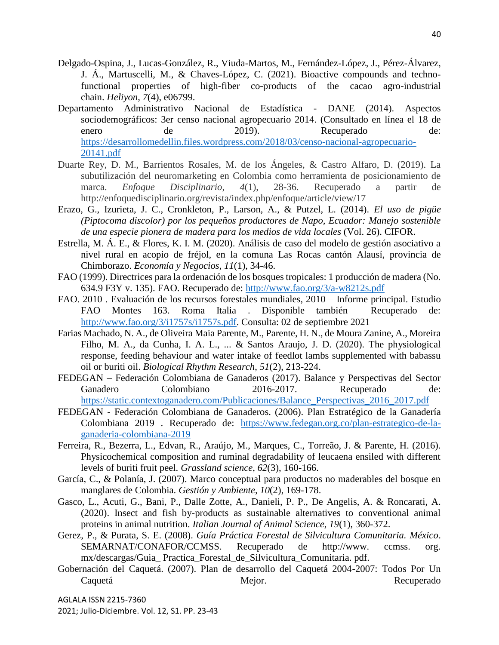- Delgado-Ospina, J., Lucas-González, R., Viuda-Martos, M., Fernández-López, J., Pérez-Álvarez, J. Á., Martuscelli, M., & Chaves-López, C. (2021). Bioactive compounds and technofunctional properties of high-fiber co-products of the cacao agro-industrial chain. *Heliyon*, *7*(4), e06799.
- Departamento Administrativo Nacional de Estadística DANE (2014). Aspectos sociodemográficos: 3er censo nacional agropecuario 2014. (Consultado en línea el 18 de enero de 2019). Recuperado de: [https://desarrollomedellin.files.wordpress.com/2018/03/censo-nacional-agropecuario-](https://desarrollomedellin.files.wordpress.com/2018/03/censo-nacional-agropecuario-20141.pdf)[20141.pdf](https://desarrollomedellin.files.wordpress.com/2018/03/censo-nacional-agropecuario-20141.pdf)
- Duarte Rey, D. M., Barrientos Rosales, M. de los Ángeles, & Castro Alfaro, D. (2019). La subutilización del neuromarketing en Colombia como herramienta de posicionamiento de marca. *Enfoque Disciplinario*, *4*(1), 28-36. Recuperado a partir de http://enfoquedisciplinario.org/revista/index.php/enfoque/article/view/17
- Erazo, G., Izurieta, J. C., Cronkleton, P., Larson, A., & Putzel, L. (2014). *El uso de pigüe (Piptocoma discolor) por los pequeños productores de Napo, Ecuador: Manejo sostenible de una especie pionera de madera para los medios de vida locales* (Vol. 26). CIFOR.
- Estrella, M. Á. E., & Flores, K. I. M. (2020). Análisis de caso del modelo de gestión asociativo a nivel rural en acopio de fréjol, en la comuna Las Rocas cantón Alausí, provincia de Chimborazo. *Economía y Negocios*, *11*(1), 34-46.
- FAO (1999). Directrices para la ordenación de los bosques tropicales: 1 producción de madera (No. 634.9 F3Y v. 135). FAO. Recuperado de:<http://www.fao.org/3/a-w8212s.pdf>
- FAO. 2010 . Evaluación de los recursos forestales mundiales, 2010 Informe principal. Estudio FAO Montes 163. Roma Italia . Disponible también Recuperado de: [http://www.fao.org/3/i1757s/i1757s.pdf.](http://www.fao.org/3/i1757s/i1757s.pdf) Consulta: 02 de septiembre 2021
- Farias Machado, N. A., de Oliveira Maia Parente, M., Parente, H. N., de Moura Zanine, A., Moreira Filho, M. A., da Cunha, I. A. L., ... & Santos Araujo, J. D. (2020). The physiological response, feeding behaviour and water intake of feedlot lambs supplemented with babassu oil or buriti oil. *Biological Rhythm Research*, *51*(2), 213-224.
- FEDEGAN Federación Colombiana de Ganaderos (2017). Balance y Perspectivas del Sector Ganadero Colombiano 2016-2017. Recuperado de: [https://static.contextoganadero.com/Publicaciones/Balance\\_Perspectivas\\_2016\\_2017.pdf](https://static.contextoganadero.com/Publicaciones/Balance_Perspectivas_2016_2017.pdf)
- FEDEGAN Federación Colombiana de Ganaderos. (2006). Plan Estratégico de la Ganadería Colombiana 2019 . Recuperado de: [https://www.fedegan.org.co/plan-estrategico-de-la](https://www.fedegan.org.co/plan-estrategico-de-la-ganaderia-colombiana-2019)[ganaderia-colombiana-2019](https://www.fedegan.org.co/plan-estrategico-de-la-ganaderia-colombiana-2019)
- Ferreira, R., Bezerra, L., Edvan, R., Araújo, M., Marques, C., Torreão, J. & Parente, H. (2016). Physicochemical composition and ruminal degradability of leucaena ensiled with different levels of buriti fruit peel. *Grassland science*, *62*(3), 160-166.
- García, C., & Polanía, J. (2007). Marco conceptual para productos no maderables del bosque en manglares de Colombia. *Gestión y Ambiente*, *10*(2), 169-178.
- Gasco, L., Acuti, G., Bani, P., Dalle Zotte, A., Danieli, P. P., De Angelis, A. & Roncarati, A. (2020). Insect and fish by-products as sustainable alternatives to conventional animal proteins in animal nutrition. *Italian Journal of Animal Science*, *19*(1), 360-372.
- Gerez, P., & Purata, S. E. (2008). *Guía Práctica Forestal de Silvicultura Comunitaria. México*. SEMARNAT/CONAFOR/CCMSS. Recuperado de http://www. ccmss. org. mx/descargas/Guia\_ Practica\_Forestal\_de\_Silvicultura\_Comunitaria. pdf.
- Gobernación del Caquetá. (2007). Plan de desarrollo del Caquetá 2004-2007: Todos Por Un Caquetá Mejor. Mejor. Recuperado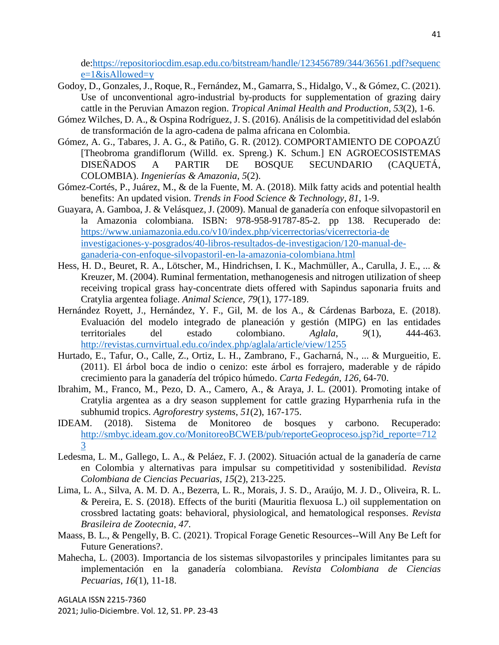de[:https://repositoriocdim.esap.edu.co/bitstream/handle/123456789/344/36561.pdf?sequenc](https://repositoriocdim.esap.edu.co/bitstream/handle/123456789/344/3656-1.pdf?sequence=1&isAllowed=y)  $e=1$ &isAllowed=y

- Godoy, D., Gonzales, J., Roque, R., Fernández, M., Gamarra, S., Hidalgo, V., & Gómez, C. (2021). Use of unconventional agro-industrial by-products for supplementation of grazing dairy cattle in the Peruvian Amazon region. *Tropical Animal Health and Production*, *53*(2), 1-6.
- Gómez Wilches, D. A., & Ospina Rodríguez, J. S. (2016). Análisis de la competitividad del eslabón de transformación de la agro-cadena de palma africana en Colombia.
- Gómez, A. G., Tabares, J. A. G., & Patiño, G. R. (2012). COMPORTAMIENTO DE COPOAZÚ [Theobroma grandiflorum (Willd. ex. Spreng.) K. Schum.] EN AGROECOSISTEMAS DISEÑADOS A PARTIR DE BOSQUE SECUNDARIO (CAQUETÁ, COLOMBIA). *Ingenierías & Amazonia*, *5*(2).
- Gómez-Cortés, P., Juárez, M., & de la Fuente, M. A. (2018). Milk fatty acids and potential health benefits: An updated vision. *Trends in Food Science & Technology*, *81*, 1-9.
- Guayara, A. Gamboa, J. & Velásquez, J. (2009). Manual de ganadería con enfoque silvopastoril en la Amazonia colombiana. ISBN: 978-958-91787-85-2. pp 138. Recuperado de: [https://www.uniamazonia.edu.co/v10/index.php/vicerrectorias/vicerrectoria-de](https://www.uniamazonia.edu.co/v10/index.php/vicerrectorias/vicerrectoria-de%20investigaciones-y-posgrados/40-libros-resultados-de-investigacion/120-manual-de-ganaderia-con-enfoque-silvopastoril-en-la-amazonia-colombiana.html)  [investigaciones-y-posgrados/40-libros-resultados-de-investigacion/120-manual-de](https://www.uniamazonia.edu.co/v10/index.php/vicerrectorias/vicerrectoria-de%20investigaciones-y-posgrados/40-libros-resultados-de-investigacion/120-manual-de-ganaderia-con-enfoque-silvopastoril-en-la-amazonia-colombiana.html)[ganaderia-con-enfoque-silvopastoril-en-la-amazonia-colombiana.html](https://www.uniamazonia.edu.co/v10/index.php/vicerrectorias/vicerrectoria-de%20investigaciones-y-posgrados/40-libros-resultados-de-investigacion/120-manual-de-ganaderia-con-enfoque-silvopastoril-en-la-amazonia-colombiana.html)
- Hess, H. D., Beuret, R. A., Lötscher, M., Hindrichsen, I. K., Machmüller, A., Carulla, J. E., ... & Kreuzer, M. (2004). Ruminal fermentation, methanogenesis and nitrogen utilization of sheep receiving tropical grass hay-concentrate diets offered with Sapindus saponaria fruits and Cratylia argentea foliage. *Animal Science*, *79*(1), 177-189.
- Hernández Royett, J., Hernández, Y. F., Gil, M. de los A., & Cárdenas Barboza, E. (2018). Evaluación del modelo integrado de planeación y gestión (MIPG) en las entidades territoriales del estado colombiano. *Aglala*, *9*(1), 444-463. <http://revistas.curnvirtual.edu.co/index.php/aglala/article/view/1255>
- Hurtado, E., Tafur, O., Calle, Z., Ortiz, L. H., Zambrano, F., Gacharná, N., ... & Murgueitio, E. (2011). El árbol boca de indio o cenizo: este árbol es forrajero, maderable y de rápido crecimiento para la ganadería del trópico húmedo. *Carta Fedegán*, *126*, 64-70.
- Ibrahim, M., Franco, M., Pezo, D. A., Camero, A., & Araya, J. L. (2001). Promoting intake of Cratylia argentea as a dry season supplement for cattle grazing Hyparrhenia rufa in the subhumid tropics. *Agroforestry systems*, *51*(2), 167-175.
- IDEAM. (2018). Sistema de Monitoreo de bosques y carbono. Recuperado: [http://smbyc.ideam.gov.co/MonitoreoBCWEB/pub/reporteGeoproceso.jsp?id\\_reporte=712](http://smbyc.ideam.gov.co/MonitoreoBCWEB/pub/reporteGeoproceso.jsp?id_reporte=7123) [3](http://smbyc.ideam.gov.co/MonitoreoBCWEB/pub/reporteGeoproceso.jsp?id_reporte=7123)
- Ledesma, L. M., Gallego, L. A., & Peláez, F. J. (2002). Situación actual de la ganadería de carne en Colombia y alternativas para impulsar su competitividad y sostenibilidad. *Revista Colombiana de Ciencias Pecuarias*, *15*(2), 213-225.
- Lima, L. A., Silva, A. M. D. A., Bezerra, L. R., Morais, J. S. D., Araújo, M. J. D., Oliveira, R. L. & Pereira, E. S. (2018). Effects of the buriti (Mauritia flexuosa L.) oil supplementation on crossbred lactating goats: behavioral, physiological, and hematological responses. *Revista Brasileira de Zootecnia*, *47*.
- Maass, B. L., & Pengelly, B. C. (2021). Tropical Forage Genetic Resources--Will Any Be Left for Future Generations?.
- Mahecha, L. (2003). Importancia de los sistemas silvopastoriles y principales limitantes para su implementación en la ganadería colombiana. *Revista Colombiana de Ciencias Pecuarias*, *16*(1), 11-18.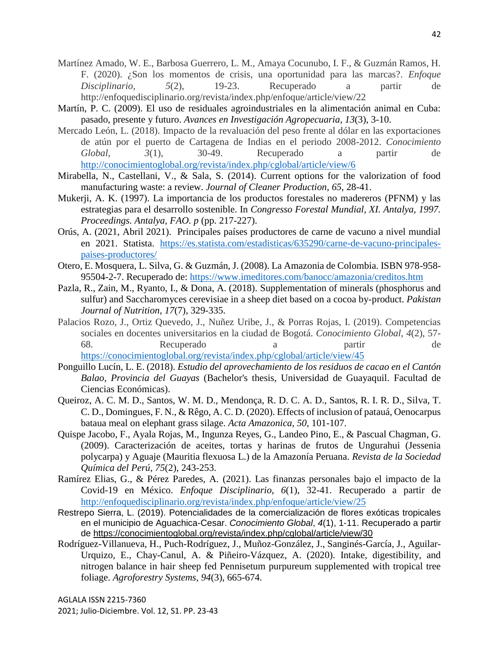- Martínez Amado, W. E., Barbosa Guerrero, L. M., Amaya Cocunubo, I. F., & Guzmán Ramos, H. F. (2020). ¿Son los momentos de crisis, una oportunidad para las marcas?. *Enfoque Disciplinario*, *5*(2), 19-23. Recuperado a partir de http://enfoquedisciplinario.org/revista/index.php/enfoque/article/view/22
- Martín, P. C. (2009). El uso de residuales agroindustriales en la alimentación animal en Cuba: pasado, presente y futuro. *Avances en Investigación Agropecuaria*, *13*(3), 3-10.
- Mercado León, L. (2018). Impacto de la revaluación del peso frente al dólar en las exportaciones de atún por el puerto de Cartagena de Indias en el periodo 2008-2012. *Conocimiento Global*, *3*(1), 30-49. Recuperado a partir de <http://conocimientoglobal.org/revista/index.php/cglobal/article/view/6>
- Mirabella, N., Castellani, V., & Sala, S. (2014). Current options for the valorization of food manufacturing waste: a review. *Journal of Cleaner Production*, *65*, 28-41.
- Mukerji, A. K. (1997). La importancia de los productos forestales no madereros (PFNM) y las estrategias para el desarrollo sostenible. In *Congresso Forestal Mundial, XI. Antalya, 1997. Proceedings. Antalya, FAO. p* (pp. 217-227).
- Orús, A. (2021, Abril 2021). Principales países productores de carne de vacuno a nivel mundial en 2021. Statista. [https://es.statista.com/estadisticas/635290/carne-de-vacuno-principales](https://es.statista.com/estadisticas/635290/carne-de-vacuno-principales-paises-productores/)[paises-productores/](https://es.statista.com/estadisticas/635290/carne-de-vacuno-principales-paises-productores/)
- Otero, E. Mosquera, L. Silva, G. & Guzmán, J. (2008). La Amazonia de Colombia. ISBN 978-958- 95504-2-7. Recuperado de:<https://www.imeditores.com/banocc/amazonia/creditos.htm>
- Pazla, R., Zain, M., Ryanto, I., & Dona, A. (2018). Supplementation of minerals (phosphorus and sulfur) and Saccharomyces cerevisiae in a sheep diet based on a cocoa by-product. *Pakistan Journal of Nutrition*, *17*(7), 329-335.
- Palacios Rozo, J., Ortiz Quevedo, J., Nuñez Uribe, J., & Porras Rojas, I. (2019). Competencias sociales en docentes universitarios en la ciudad de Bogotá. *Conocimiento Global*, *4*(2), 57- 68. Recuperado a partir de <https://conocimientoglobal.org/revista/index.php/cglobal/article/view/45>
- Ponguillo Lucín, L. E. (2018). *Estudio del aprovechamiento de los residuos de cacao en el Cantón Balao, Provincia del Guayas* (Bachelor's thesis, Universidad de Guayaquil. Facultad de Ciencias Económicas).
- Queiroz, A. C. M. D., Santos, W. M. D., Mendonça, R. D. C. A. D., Santos, R. I. R. D., Silva, T. C. D., Domingues, F. N., & Rêgo, A. C. D. (2020). Effects of inclusion of patauá, Oenocarpus bataua meal on elephant grass silage. *Acta Amazonica*, *50*, 101-107.
- Quispe Jacobo, F., Ayala Rojas, M., Ingunza Reyes, G., Landeo Pino, E., & Pascual Chagman, G. (2009). Caracterización de aceites, tortas y harinas de frutos de Ungurahui (Jessenia polycarpa) y Aguaje (Mauritia flexuosa L.) de la Amazonía Peruana. *Revista de la Sociedad Química del Perú*, *75*(2), 243-253.
- Ramírez Elias, G., & Pérez Paredes, A. (2021). Las finanzas personales bajo el impacto de la Covid-19 en México. *Enfoque Disciplinario*, *6*(1), 32-41. Recuperado a partir de <http://enfoquedisciplinario.org/revista/index.php/enfoque/article/view/25>
- Restrepo Sierra, L. (2019). Potencialidades de la comercialización de flores exóticas tropicales en el municipio de Aguachica-Cesar. *Conocimiento Global*, *4*(1), 1-11. Recuperado a partir de<https://conocimientoglobal.org/revista/index.php/cglobal/article/view/30>
- Rodríguez-Villanueva, H., Puch-Rodríguez, J., Muñoz-González, J., Sanginés-García, J., Aguilar-Urquizo, E., Chay-Canul, A. & Piñeiro-Vázquez, A. (2020). Intake, digestibility, and nitrogen balance in hair sheep fed Pennisetum purpureum supplemented with tropical tree foliage. *Agroforestry Systems*, *94*(3), 665-674.